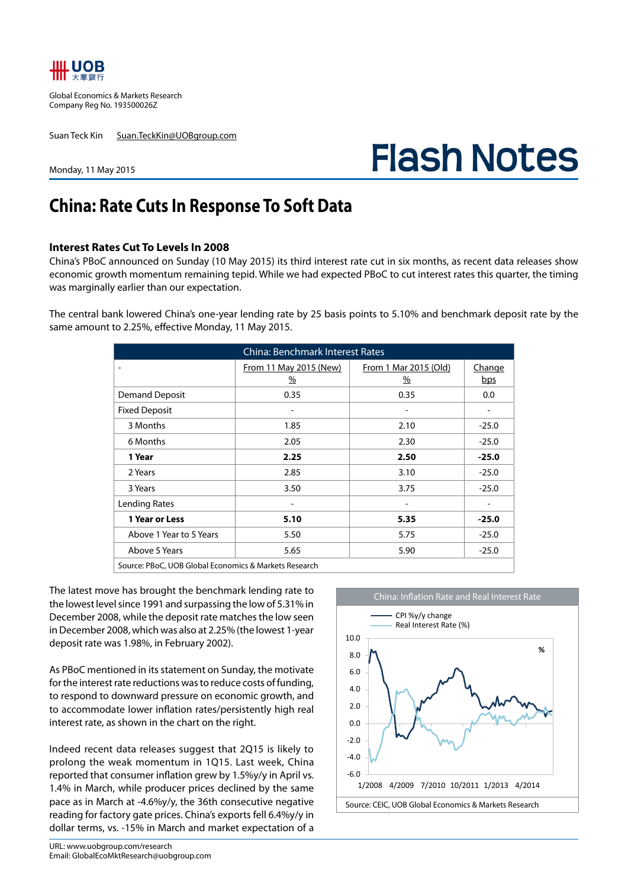

Global Economics & Markets Research Company Reg No. 193500026Z

Suan Teck Kin Suan.TeckKin@UOBgroup.com

**Flash Notes**

#### Monday, 11 May 2015

# **China: Rate Cuts In Response To Soft Data**

#### **Interest Rates Cut To Levels In 2008**

China's PBoC announced on Sunday (10 May 2015) its third interest rate cut in six months, as recent data releases show economic growth momentum remaining tepid. While we had expected PBoC to cut interest rates this quarter, the timing was marginally earlier than our expectation.

The central bank lowered China's one-year lending rate by 25 basis points to 5.10% and benchmark deposit rate by the same amount to 2.25%, effective Monday, 11 May 2015.

| <b>China: Benchmark Interest Rates</b> |                                         |                                        |               |  |  |
|----------------------------------------|-----------------------------------------|----------------------------------------|---------------|--|--|
|                                        | From 11 May 2015 (New)<br>$\frac{9}{6}$ | From 1 Mar 2015 (Old)<br>$\frac{9}{6}$ | Change<br>bps |  |  |
| <b>Demand Deposit</b>                  | 0.35                                    | 0.35                                   | 0.0           |  |  |
| <b>Fixed Deposit</b>                   |                                         |                                        |               |  |  |
| 3 Months                               | 1.85                                    | 2.10                                   | $-25.0$       |  |  |
| 6 Months                               | 2.05                                    | 2.30                                   | $-25.0$       |  |  |
| 1 Year                                 | 2.25                                    | 2.50                                   | $-25.0$       |  |  |
| 2 Years                                | 2.85                                    | 3.10                                   | $-25.0$       |  |  |
| 3 Years                                | 3.50                                    | 3.75                                   | $-25.0$       |  |  |
| Lending Rates                          |                                         |                                        |               |  |  |
| 1 Year or Less                         | 5.10                                    | 5.35                                   | $-25.0$       |  |  |
| Above 1 Year to 5 Years                | 5.50                                    | 5.75                                   | $-25.0$       |  |  |
| Above 5 Years                          | 5.65                                    | 5.90                                   | $-25.0$       |  |  |

Source: PBoC, UOB Global Economics & Markets Research

The latest move has brought the benchmark lending rate to the lowest level since 1991 and surpassing the low of 5.31% in December 2008, while the deposit rate matches the low seen in December 2008, which was also at 2.25% (the lowest 1-year deposit rate was 1.98%, in February 2002).

As PBoC mentioned in its statement on Sunday, the motivate for the interest rate reductions was to reduce costs of funding, to respond to downward pressure on economic growth, and to accommodate lower inflation rates/persistently high real interest rate, as shown in the chart on the right.

Indeed recent data releases suggest that 2Q15 is likely to prolong the weak momentum in 1Q15. Last week, China reported that consumer inflation grew by 1.5%y/y in April vs. 1.4% in March, while producer prices declined by the same pace as in March at -4.6%y/y, the 36th consecutive negative reading for factory gate prices. China's exports fell 6.4%y/y in dollar terms, vs. -15% in March and market expectation of a

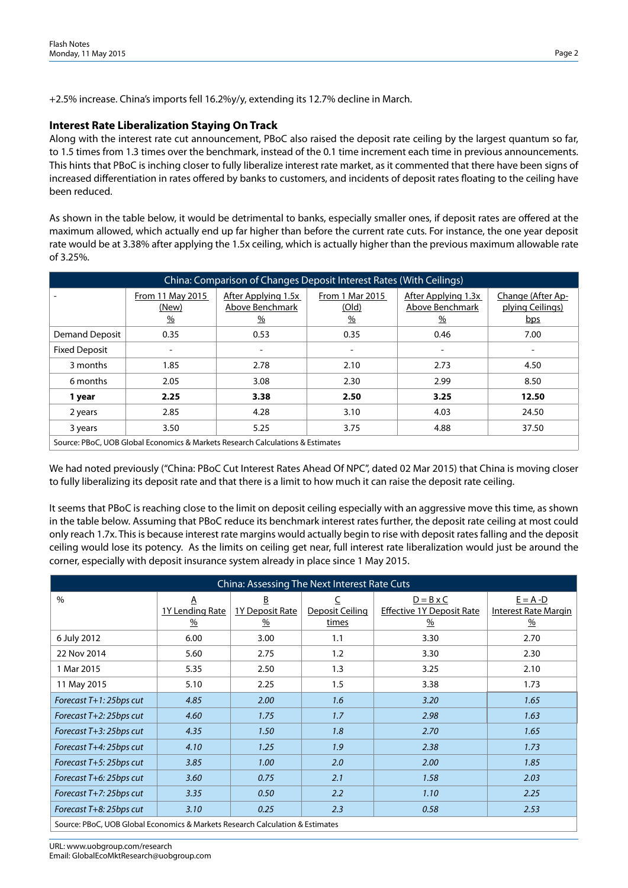+2.5% increase. China's imports fell 16.2%y/y, extending its 12.7% decline in March.

## **Interest Rate Liberalization Staying On Track**

Along with the interest rate cut announcement, PBoC also raised the deposit rate ceiling by the largest quantum so far, to 1.5 times from 1.3 times over the benchmark, instead of the 0.1 time increment each time in previous announcements. This hints that PBoC is inching closer to fully liberalize interest rate market, as it commented that there have been signs of increased differentiation in rates offered by banks to customers, and incidents of deposit rates floating to the ceiling have been reduced.

As shown in the table below, it would be detrimental to banks, especially smaller ones, if deposit rates are offered at the maximum allowed, which actually end up far higher than before the current rate cuts. For instance, the one year deposit rate would be at 3.38% after applying the 1.5x ceiling, which is actually higher than the previous maximum allowable rate of 3.25%.

| China: Comparison of Changes Deposit Interest Rates (With Ceilings)            |                                            |                                                         |                                           |                                                         |                                              |
|--------------------------------------------------------------------------------|--------------------------------------------|---------------------------------------------------------|-------------------------------------------|---------------------------------------------------------|----------------------------------------------|
|                                                                                | From 11 May 2015<br>(New)<br>$\frac{9}{6}$ | After Applying 1.5x<br>Above Benchmark<br>$\frac{9}{6}$ | From 1 Mar 2015<br>(Old)<br>$\frac{9}{6}$ | After Applying 1.3x<br>Above Benchmark<br>$\frac{0}{0}$ | Change (After Ap-<br>plying Ceilings)<br>bps |
| <b>Demand Deposit</b>                                                          | 0.35                                       | 0.53                                                    | 0.35                                      | 0.46                                                    | 7.00                                         |
| <b>Fixed Deposit</b>                                                           |                                            |                                                         |                                           |                                                         |                                              |
| 3 months                                                                       | 1.85                                       | 2.78                                                    | 2.10                                      | 2.73                                                    | 4.50                                         |
| 6 months                                                                       | 2.05                                       | 3.08                                                    | 2.30                                      | 2.99                                                    | 8.50                                         |
| 1 year                                                                         | 2.25                                       | 3.38                                                    | 2.50                                      | 3.25                                                    | 12.50                                        |
| 2 years                                                                        | 2.85                                       | 4.28                                                    | 3.10                                      | 4.03                                                    | 24.50                                        |
| 3 years                                                                        | 3.50                                       | 5.25                                                    | 3.75                                      | 4.88                                                    | 37.50                                        |
| Source: PBoC, UOB Global Economics & Markets Research Calculations & Estimates |                                            |                                                         |                                           |                                                         |                                              |

Source: PBoC, UOB Global Economics & Markets Research Calculations & Estimates

We had noted previously ("China: PBoC Cut Interest Rates Ahead Of NPC", dated 02 Mar 2015) that China is moving closer to fully liberalizing its deposit rate and that there is a limit to how much it can raise the deposit rate ceiling.

It seems that PBoC is reaching close to the limit on deposit ceiling especially with an aggressive move this time, as shown in the table below. Assuming that PBoC reduce its benchmark interest rates further, the deposit rate ceiling at most could only reach 1.7x. This is because interest rate margins would actually begin to rise with deposit rates falling and the deposit ceiling would lose its potency. As the limits on ceiling get near, full interest rate liberalization would just be around the corner, especially with deposit insurance system already in place since 1 May 2015.

| China: Assessing The Next Interest Rate Cuts                                  |                                       |                                  |                          |                                                                               |                                                 |
|-------------------------------------------------------------------------------|---------------------------------------|----------------------------------|--------------------------|-------------------------------------------------------------------------------|-------------------------------------------------|
| $\%$                                                                          | A<br>1Y Lending Rate<br>$\frac{9}{6}$ | B<br><b>1Y Deposit Rate</b><br>% | Deposit Ceiling<br>times | $D = B \times C$<br><b>Effective 1Y Deposit Rate</b><br>$\frac{\%}{\sqrt{2}}$ | $E = A - D$<br><b>Interest Rate Margin</b><br>% |
| 6 July 2012                                                                   | 6.00                                  | 3.00                             | 1.1                      | 3.30                                                                          | 2.70                                            |
| 22 Nov 2014                                                                   | 5.60                                  | 2.75                             | 1.2                      | 3.30                                                                          | 2.30                                            |
| 1 Mar 2015                                                                    | 5.35                                  | 2.50                             | 1.3                      | 3.25                                                                          | 2.10                                            |
| 11 May 2015                                                                   | 5.10                                  | 2.25                             | 1.5                      | 3.38                                                                          | 1.73                                            |
| Forecast T+1: 25bps cut                                                       | 4.85                                  | 2.00                             | 1.6                      | 3.20                                                                          | 1.65                                            |
| Forecast T+2: 25bps cut                                                       | 4.60                                  | 1.75                             | 1.7                      | 2.98                                                                          | 1.63                                            |
| Forecast T+3: 25bps cut                                                       | 4.35                                  | 1.50                             | 1.8                      | 2.70                                                                          | 1.65                                            |
| Forecast T+4: 25bps cut                                                       | 4.10                                  | 1.25                             | 1.9                      | 2.38                                                                          | 1.73                                            |
| Forecast T+5: 25bps cut                                                       | 3.85                                  | 1.00                             | 2.0                      | 2.00                                                                          | 1.85                                            |
| Forecast T+6: 25bps cut                                                       | 3.60                                  | 0.75                             | 2.1                      | 1.58                                                                          | 2.03                                            |
| Forecast T+7: 25bps cut                                                       | 3.35                                  | 0.50                             | 2.2                      | 1.10                                                                          | 2.25                                            |
| Forecast T+8: 25bps cut                                                       | 3.10                                  | 0.25                             | 2.3                      | 0.58                                                                          | 2.53                                            |
| Source: PBoC, UOB Global Economics & Markets Research Calculation & Estimates |                                       |                                  |                          |                                                                               |                                                 |